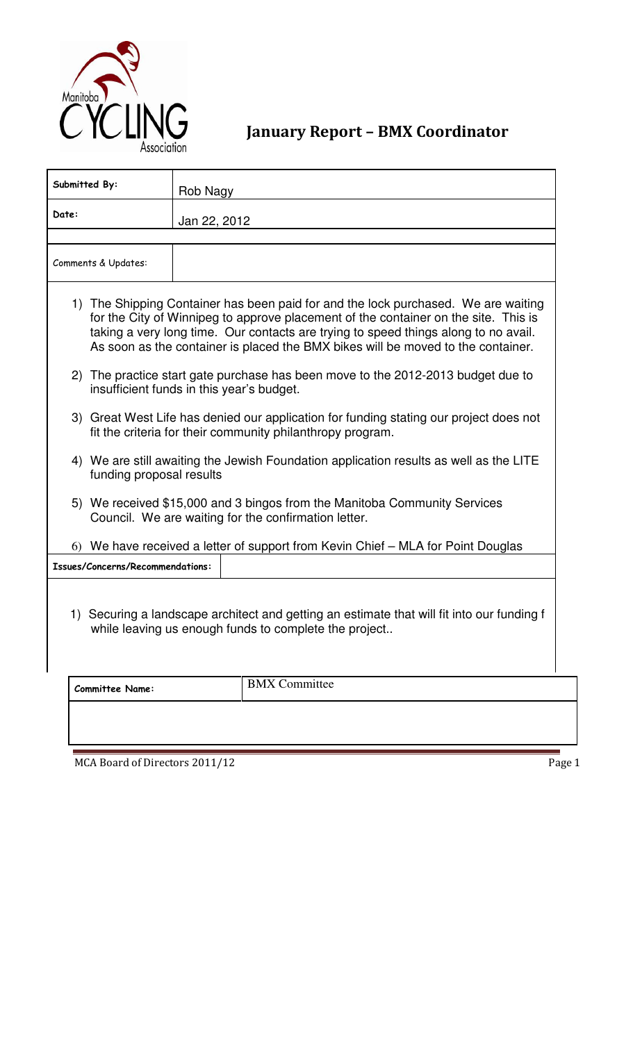

January Report – BMX Coordinator

| Submitted By:                                                                                                                                                                                                                                                                                                                                        | Rob Nagy             |  |  |  |  |  |
|------------------------------------------------------------------------------------------------------------------------------------------------------------------------------------------------------------------------------------------------------------------------------------------------------------------------------------------------------|----------------------|--|--|--|--|--|
| Date:<br>Jan 22, 2012                                                                                                                                                                                                                                                                                                                                |                      |  |  |  |  |  |
| Comments & Updates:                                                                                                                                                                                                                                                                                                                                  |                      |  |  |  |  |  |
| 1) The Shipping Container has been paid for and the lock purchased. We are waiting<br>for the City of Winnipeg to approve placement of the container on the site. This is<br>taking a very long time. Our contacts are trying to speed things along to no avail.<br>As soon as the container is placed the BMX bikes will be moved to the container. |                      |  |  |  |  |  |
| 2) The practice start gate purchase has been move to the 2012-2013 budget due to<br>insufficient funds in this year's budget.                                                                                                                                                                                                                        |                      |  |  |  |  |  |
| 3) Great West Life has denied our application for funding stating our project does not<br>fit the criteria for their community philanthropy program.                                                                                                                                                                                                 |                      |  |  |  |  |  |
| 4) We are still awaiting the Jewish Foundation application results as well as the LITE<br>funding proposal results                                                                                                                                                                                                                                   |                      |  |  |  |  |  |
| 5) We received \$15,000 and 3 bingos from the Manitoba Community Services<br>Council. We are waiting for the confirmation letter.                                                                                                                                                                                                                    |                      |  |  |  |  |  |
| 6) We have received a letter of support from Kevin Chief - MLA for Point Douglas                                                                                                                                                                                                                                                                     |                      |  |  |  |  |  |
| Issues/Concerns/Recommendations:                                                                                                                                                                                                                                                                                                                     |                      |  |  |  |  |  |
| 1) Securing a landscape architect and getting an estimate that will fit into our funding f<br>while leaving us enough funds to complete the project                                                                                                                                                                                                  |                      |  |  |  |  |  |
| <b>Committee Name:</b>                                                                                                                                                                                                                                                                                                                               | <b>BMX</b> Committee |  |  |  |  |  |
|                                                                                                                                                                                                                                                                                                                                                      |                      |  |  |  |  |  |

MCA Board of Directors 2011/12 Page 1